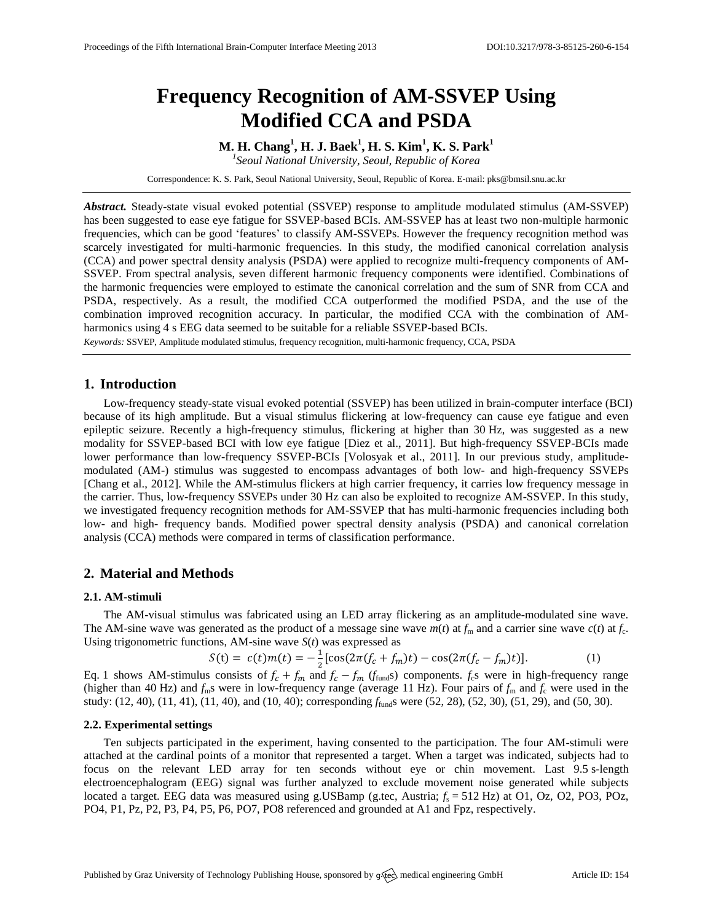# **Frequency Recognition of AM-SSVEP Using Modified CCA and PSDA**

**M. H. Chang<sup>1</sup> , H. J. Baek<sup>1</sup> , H. S. Kim<sup>1</sup> , K. S. Park<sup>1</sup>** *1 Seoul National University, Seoul, Republic of Korea*

Correspondence: K. S. Park, Seoul National University, Seoul, Republic of Korea. E-mail[: pks@bmsil.snu.ac.kr](mailto:corresponding.author@address.com)

*Abstract.* Steady-state visual evoked potential (SSVEP) response to amplitude modulated stimulus (AM-SSVEP) has been suggested to ease eye fatigue for SSVEP-based BCIs. AM-SSVEP has at least two non-multiple harmonic frequencies, which can be good 'features' to classify AM-SSVEPs. However the frequency recognition method was scarcely investigated for multi-harmonic frequencies. In this study, the modified canonical correlation analysis (CCA) and power spectral density analysis (PSDA) were applied to recognize multi-frequency components of AM-SSVEP. From spectral analysis, seven different harmonic frequency components were identified. Combinations of the harmonic frequencies were employed to estimate the canonical correlation and the sum of SNR from CCA and PSDA, respectively. As a result, the modified CCA outperformed the modified PSDA, and the use of the combination improved recognition accuracy. In particular, the modified CCA with the combination of AMharmonics using 4 s EEG data seemed to be suitable for a reliable SSVEP-based BCIs.

*Keywords:* SSVEP, Amplitude modulated stimulus, frequency recognition, multi-harmonic frequency, CCA, PSDA

# **1. Introduction**

Low-frequency steady-state visual evoked potential (SSVEP) has been utilized in brain-computer interface (BCI) because of its high amplitude. But a visual stimulus flickering at low-frequency can cause eye fatigue and even epileptic seizure. Recently a high-frequency stimulus, flickering at higher than 30 Hz, was suggested as a new modality for SSVEP-based BCI with low eye fatigue [Diez et al., 2011]. But high-frequency SSVEP-BCIs made lower performance than low-frequency SSVEP-BCIs [Volosyak et al., 2011]. In our previous study, amplitudemodulated (AM-) stimulus was suggested to encompass advantages of both low- and high-frequency SSVEPs [Chang et al., 2012]. While the AM-stimulus flickers at high carrier frequency, it carries low frequency message in the carrier. Thus, low-frequency SSVEPs under 30 Hz can also be exploited to recognize AM-SSVEP. In this study, we investigated frequency recognition methods for AM-SSVEP that has multi-harmonic frequencies including both low- and high- frequency bands. Modified power spectral density analysis (PSDA) and canonical correlation analysis (CCA) methods were compared in terms of classification performance.

## **2. Material and Methods**

#### **2.1. AM-stimuli**

The AM-visual stimulus was fabricated using an LED array flickering as an amplitude-modulated sine wave. The AM-sine wave was generated as the product of a message sine wave  $m(t)$  at  $f_m$  and a carrier sine wave  $c(t)$  at  $f_c$ . Using trigonometric functions, AM-sine wave *S*(*t*) was expressed as

$$
S(t) = c(t)m(t) = -\frac{1}{2}[\cos(2\pi(f_c + f_m)t) - \cos(2\pi(f_c - f_m)t)].
$$
\n(1)

Eq. 1 shows AM-stimulus consists of  $f_c + f_m$  and  $f_c - f_m$  ( $f_{fund}$ s) components.  $f_c$ s were in high-frequency range (higher than 40 Hz) and  $f_m$ s were in low-frequency range (average 11 Hz). Four pairs of  $f_m$  and  $f_c$  were used in the study: (12, 40), (11, 41), (11, 40), and (10, 40); corresponding *f*funds were (52, 28), (52, 30), (51, 29), and (50, 30).

#### **2.2. Experimental settings**

Ten subjects participated in the experiment, having consented to the participation. The four AM-stimuli were attached at the cardinal points of a monitor that represented a target. When a target was indicated, subjects had to focus on the relevant LED array for ten seconds without eye or chin movement. Last 9.5 s-length electroencephalogram (EEG) signal was further analyzed to exclude movement noise generated while subjects located a target. EEG data was measured using g.USBamp (g.tec, Austria;  $f_s = 512$  Hz) at O1, Oz, O2, PO3, POz, PO4, P1, Pz, P2, P3, P4, P5, P6, PO7, PO8 referenced and grounded at A1 and Fpz, respectively.